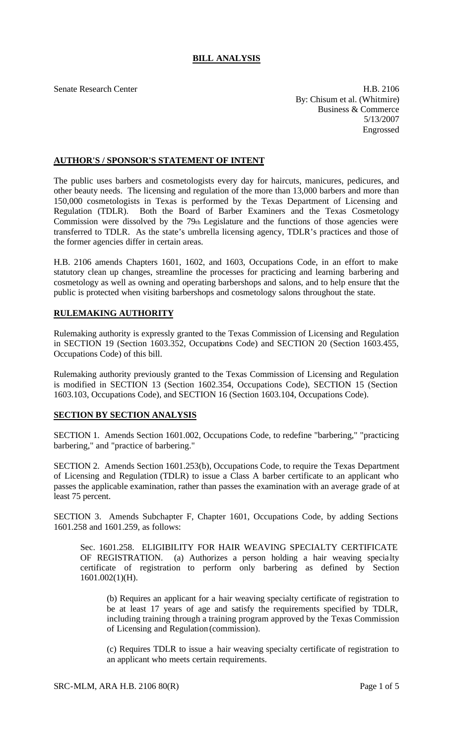## **BILL ANALYSIS**

Senate Research Center **H.B. 2106** By: Chisum et al. (Whitmire) Business & Commerce 5/13/2007 Engrossed

## **AUTHOR'S / SPONSOR'S STATEMENT OF INTENT**

The public uses barbers and cosmetologists every day for haircuts, manicures, pedicures, and other beauty needs. The licensing and regulation of the more than 13,000 barbers and more than 150,000 cosmetologists in Texas is performed by the Texas Department of Licensing and Regulation (TDLR). Both the Board of Barber Examiners and the Texas Cosmetology Commission were dissolved by the 79th Legislature and the functions of those agencies were transferred to TDLR. As the state's umbrella licensing agency, TDLR's practices and those of the former agencies differ in certain areas.

H.B. 2106 amends Chapters 1601, 1602, and 1603, Occupations Code, in an effort to make statutory clean up changes, streamline the processes for practicing and learning barbering and cosmetology as well as owning and operating barbershops and salons, and to help ensure that the public is protected when visiting barbershops and cosmetology salons throughout the state.

## **RULEMAKING AUTHORITY**

Rulemaking authority is expressly granted to the Texas Commission of Licensing and Regulation in SECTION 19 (Section 1603.352, Occupations Code) and SECTION 20 (Section 1603.455, Occupations Code) of this bill.

Rulemaking authority previously granted to the Texas Commission of Licensing and Regulation is modified in SECTION 13 (Section 1602.354, Occupations Code), SECTION 15 (Section 1603.103, Occupations Code), and SECTION 16 (Section 1603.104, Occupations Code).

## **SECTION BY SECTION ANALYSIS**

SECTION 1. Amends Section 1601.002, Occupations Code, to redefine "barbering," "practicing barbering," and "practice of barbering."

SECTION 2. Amends Section 1601.253(b), Occupations Code, to require the Texas Department of Licensing and Regulation (TDLR) to issue a Class A barber certificate to an applicant who passes the applicable examination, rather than passes the examination with an average grade of at least 75 percent.

SECTION 3. Amends Subchapter F, Chapter 1601, Occupations Code, by adding Sections 1601.258 and 1601.259, as follows:

Sec. 1601.258. ELIGIBILITY FOR HAIR WEAVING SPECIALTY CERTIFICATE OF REGISTRATION. (a) Authorizes a person holding a hair weaving specialty certificate of registration to perform only barbering as defined by Section 1601.002(1)(H).

(b) Requires an applicant for a hair weaving specialty certificate of registration to be at least 17 years of age and satisfy the requirements specified by TDLR, including training through a training program approved by the Texas Commission of Licensing and Regulation (commission).

(c) Requires TDLR to issue a hair weaving specialty certificate of registration to an applicant who meets certain requirements.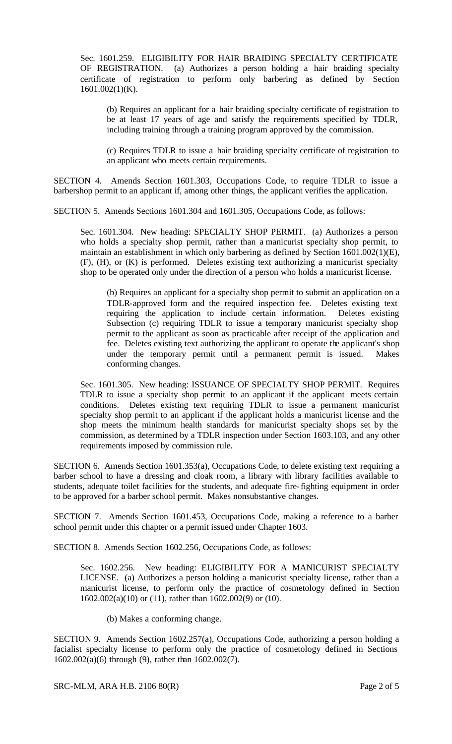Sec. 1601.259. ELIGIBILITY FOR HAIR BRAIDING SPECIALTY CERTIFICATE OF REGISTRATION. (a) Authorizes a person holding a hair braiding specialty certificate of registration to perform only barbering as defined by Section 1601.002(1)(K).

(b) Requires an applicant for a hair braiding specialty certificate of registration to be at least 17 years of age and satisfy the requirements specified by TDLR, including training through a training program approved by the commission.

(c) Requires TDLR to issue a hair braiding specialty certificate of registration to an applicant who meets certain requirements.

SECTION 4. Amends Section 1601.303, Occupations Code, to require TDLR to issue a barbershop permit to an applicant if, among other things, the applicant verifies the application.

SECTION 5. Amends Sections 1601.304 and 1601.305, Occupations Code, as follows:

Sec. 1601.304. New heading: SPECIALTY SHOP PERMIT. (a) Authorizes a person who holds a specialty shop permit, rather than a manicurist specialty shop permit, to maintain an establishment in which only barbering as defined by Section 1601.002(1)(E), (F), (H), or (K) is performed. Deletes existing text authorizing a manicurist specialty shop to be operated only under the direction of a person who holds a manicurist license.

(b) Requires an applicant for a specialty shop permit to submit an application on a TDLR-approved form and the required inspection fee. Deletes existing text requiring the application to include certain information. Deletes existing Subsection (c) requiring TDLR to issue a temporary manicurist specialty shop permit to the applicant as soon as practicable after receipt of the application and fee. Deletes existing text authorizing the applicant to operate the applicant's shop under the temporary permit until a permanent permit is issued. Makes conforming changes.

Sec. 1601.305. New heading: ISSUANCE OF SPECIALTY SHOP PERMIT. Requires TDLR to issue a specialty shop permit to an applicant if the applicant meets certain conditions. Deletes existing text requiring TDLR to issue a permanent manicurist specialty shop permit to an applicant if the applicant holds a manicurist license and the shop meets the minimum health standards for manicurist specialty shops set by the commission, as determined by a TDLR inspection under Section 1603.103, and any other requirements imposed by commission rule.

SECTION 6. Amends Section 1601.353(a), Occupations Code, to delete existing text requiring a barber school to have a dressing and cloak room, a library with library facilities available to students, adequate toilet facilities for the students, and adequate fire-fighting equipment in order to be approved for a barber school permit. Makes nonsubstantive changes.

SECTION 7. Amends Section 1601.453, Occupations Code, making a reference to a barber school permit under this chapter or a permit issued under Chapter 1603.

SECTION 8. Amends Section 1602.256, Occupations Code, as follows:

Sec. 1602.256. New heading: ELIGIBILITY FOR A MANICURIST SPECIALTY LICENSE. (a) Authorizes a person holding a manicurist specialty license, rather than a manicurist license, to perform only the practice of cosmetology defined in Section 1602.002(a)(10) or (11), rather than 1602.002(9) or (10).

(b) Makes a conforming change.

SECTION 9. Amends Section 1602.257(a), Occupations Code, authorizing a person holding a facialist specialty license to perform only the practice of cosmetology defined in Sections 1602.002(a)(6) through (9), rather than 1602.002(7).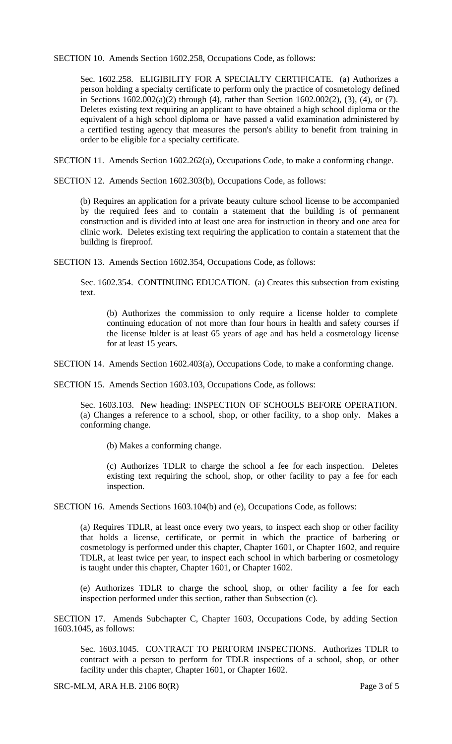SECTION 10. Amends Section 1602.258, Occupations Code, as follows:

Sec. 1602.258. ELIGIBILITY FOR A SPECIALTY CERTIFICATE. (a) Authorizes a person holding a specialty certificate to perform only the practice of cosmetology defined in Sections 1602.002(a)(2) through (4), rather than Section 1602.002(2), (3), (4), or (7). Deletes existing text requiring an applicant to have obtained a high school diploma or the equivalent of a high school diploma or have passed a valid examination administered by a certified testing agency that measures the person's ability to benefit from training in order to be eligible for a specialty certificate.

SECTION 11. Amends Section 1602.262(a), Occupations Code, to make a conforming change.

SECTION 12. Amends Section 1602.303(b), Occupations Code, as follows:

(b) Requires an application for a private beauty culture school license to be accompanied by the required fees and to contain a statement that the building is of permanent construction and is divided into at least one area for instruction in theory and one area for clinic work. Deletes existing text requiring the application to contain a statement that the building is fireproof.

SECTION 13. Amends Section 1602.354, Occupations Code, as follows:

Sec. 1602.354. CONTINUING EDUCATION. (a) Creates this subsection from existing text.

(b) Authorizes the commission to only require a license holder to complete continuing education of not more than four hours in health and safety courses if the license holder is at least 65 years of age and has held a cosmetology license for at least 15 years.

SECTION 14. Amends Section 1602.403(a), Occupations Code, to make a conforming change.

SECTION 15. Amends Section 1603.103, Occupations Code, as follows:

Sec. 1603.103. New heading: INSPECTION OF SCHOOLS BEFORE OPERATION. (a) Changes a reference to a school, shop, or other facility, to a shop only. Makes a conforming change.

(b) Makes a conforming change.

(c) Authorizes TDLR to charge the school a fee for each inspection. Deletes existing text requiring the school, shop, or other facility to pay a fee for each inspection.

SECTION 16. Amends Sections 1603.104(b) and (e), Occupations Code, as follows:

(a) Requires TDLR, at least once every two years, to inspect each shop or other facility that holds a license, certificate, or permit in which the practice of barbering or cosmetology is performed under this chapter, Chapter 1601, or Chapter 1602, and require TDLR, at least twice per year, to inspect each school in which barbering or cosmetology is taught under this chapter, Chapter 1601, or Chapter 1602.

(e) Authorizes TDLR to charge the school, shop, or other facility a fee for each inspection performed under this section, rather than Subsection (c).

SECTION 17. Amends Subchapter C, Chapter 1603, Occupations Code, by adding Section 1603.1045, as follows:

Sec. 1603.1045. CONTRACT TO PERFORM INSPECTIONS. Authorizes TDLR to contract with a person to perform for TDLR inspections of a school, shop, or other facility under this chapter, Chapter 1601, or Chapter 1602.

SRC-MLM, ARA H.B. 2106 80(R) Page 3 of 5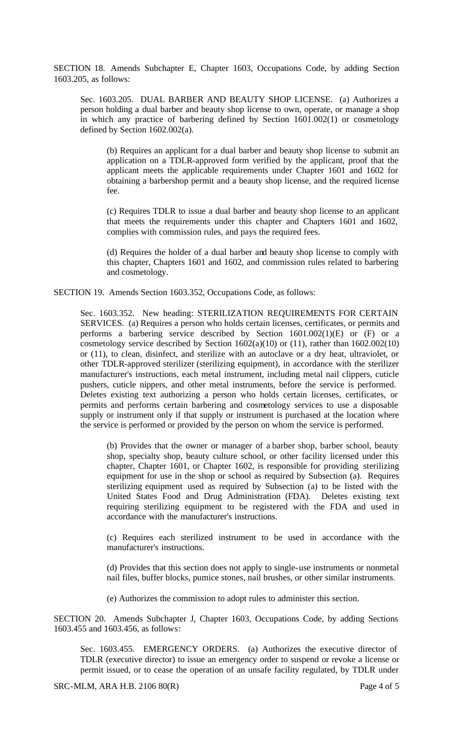SECTION 18. Amends Subchapter E, Chapter 1603, Occupations Code, by adding Section 1603.205, as follows:

Sec. 1603.205. DUAL BARBER AND BEAUTY SHOP LICENSE. (a) Authorizes a person holding a dual barber and beauty shop license to own, operate, or manage a shop in which any practice of barbering defined by Section 1601.002(1) or cosmetology defined by Section 1602.002(a).

(b) Requires an applicant for a dual barber and beauty shop license to submit an application on a TDLR-approved form verified by the applicant, proof that the applicant meets the applicable requirements under Chapter 1601 and 1602 for obtaining a barbershop permit and a beauty shop license, and the required license fee.

(c) Requires TDLR to issue a dual barber and beauty shop license to an applicant that meets the requirements under this chapter and Chapters 1601 and 1602, complies with commission rules, and pays the required fees.

(d) Requires the holder of a dual barber and beauty shop license to comply with this chapter, Chapters 1601 and 1602, and commission rules related to barbering and cosmetology.

SECTION 19. Amends Section 1603.352, Occupations Code, as follows:

Sec. 1603.352. New heading: STERILIZATION REQUIREMENTS FOR CERTAIN SERVICES. (a) Requires a person who holds certain licenses, certificates, or permits and performs a barbering service described by Section 1601.002(1)(E) or (F) or a cosmetology service described by Section  $1602(a)(10)$  or  $(11)$ , rather than  $1602.002(10)$ or (11), to clean, disinfect, and sterilize with an autoclave or a dry heat, ultraviolet, or other TDLR-approved sterilizer (sterilizing equipment), in accordance with the sterilizer manufacturer's instructions, each metal instrument, including metal nail clippers, cuticle pushers, cuticle nippers, and other metal instruments, before the service is performed. Deletes existing text authorizing a person who holds certain licenses, certificates, or permits and performs certain barbering and cosmetology services to use a disposable supply or instrument only if that supply or instrument is purchased at the location where the service is performed or provided by the person on whom the service is performed.

(b) Provides that the owner or manager of a barber shop, barber school, beauty shop, specialty shop, beauty culture school, or other facility licensed under this chapter, Chapter 1601, or Chapter 1602, is responsible for providing sterilizing equipment for use in the shop or school as required by Subsection (a). Requires sterilizing equipment used as required by Subsection (a) to be listed with the United States Food and Drug Administration (FDA). Deletes existing text requiring sterilizing equipment to be registered with the FDA and used in accordance with the manufacturer's instructions.

(c) Requires each sterilized instrument to be used in accordance with the manufacturer's instructions.

(d) Provides that this section does not apply to single-use instruments or nonmetal nail files, buffer blocks, pumice stones, nail brushes, or other similar instruments.

(e) Authorizes the commission to adopt rules to administer this section.

SECTION 20. Amends Subchapter J, Chapter 1603, Occupations Code, by adding Sections 1603.455 and 1603.456, as follows:

Sec. 1603.455. EMERGENCY ORDERS. (a) Authorizes the executive director of TDLR (executive director) to issue an emergency order to suspend or revoke a license or permit issued, or to cease the operation of an unsafe facility regulated, by TDLR under

SRC-MLM, ARA H.B. 2106 80(R) Page 4 of 5